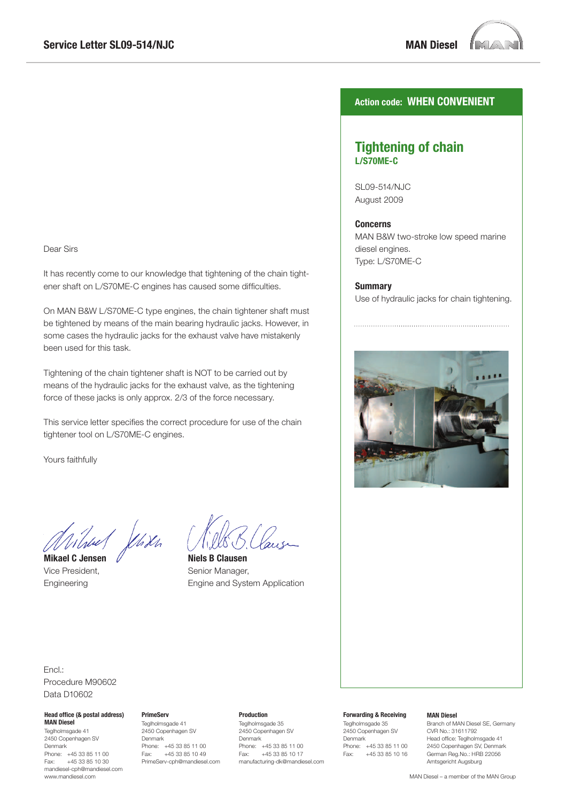**MAN Diesel** 



# Dear Sirs

It has recently come to our knowledge that tightening of the chain tightener shaft on L/S70ME-C engines has caused some difficulties.

On MAN B&W L/S70ME-C type engines, the chain tightener shaft must be tightened by means of the main bearing hydraulic jacks. However, in some cases the hydraulic jacks for the exhaust valve have mistakenly been used for this task.

Tightening of the chain tightener shaft is NOT to be carried out by means of the hydraulic jacks for the exhaust valve, as the tightening force of these jacks is only approx. 2/3 of the force necessary.

This service letter specifies the correct procedure for use of the chain tightener tool on L/S70ME-C engines.

Yours faithfully

Wheel Jehren

**Mikael C Jensen**  Vice President, Engineering

**Niels B Clausen** Senior Manager, Engine and System Application

### **Action code: WHEN CONVENIENT**

### **Tightening of chain L/S70ME-C**

SL09-514/NJC August 2009

#### **Concerns**

MAN B&W two-stroke low speed marine diesel engines. Type: L/S70ME-C

#### **Summary**

Use of hydraulic jacks for chain tightening.



### Encl.: Procedure M90602 Data D10602

#### **Head office (& postal address) MAN Diesel**

Teglholmsgade 41 2450 Copenhagen SV Denmark Phone: +45 33 85 11 00 Fax: +45 33 85 10 30 mandiesel-cph@mandiesel.com www.mandiesel.com

# **PrimeServ**

Teglholmsgade 41 2450 Copenhagen SV Denmark Phone: +45 33 85 11 00<br>Fax: +45 33 85 10 49 Fax: +45 33 85 10 49 PrimeServ-cph@mandiesel.com

#### **Production**

Teglholmsgade 35 2450 Copenhagen SV Denmark Phone: +45 33 85 11 00<br>Fax: +45 33 85 10 17 Fax: +45 33 85 10 17 manufacturing-dk@mandiesel.com

#### **Forwarding & Receiving**

Teglholmsgade 35 2450 Copenhagen SV Denmark Phone: +45 33 85 11 00 Fax: +45 33 85 10 16

#### **MAN Diesel**

Branch of MAN Diesel SE, Germany CVR No.: 31611792 Head office: Teglholmsgade 41 2450 Copenhagen SV, Denmark German Reg.No.: HRB 22056 Amtsgericht Augsburg

MAN Diesel – a member of the MAN Group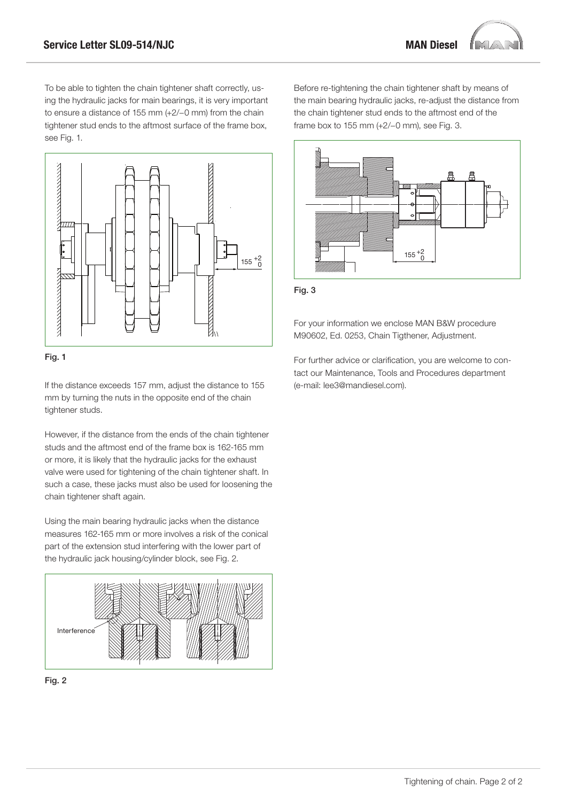To be able to tighten the chain tightener shaft correctly, using the hydraulic jacks for main bearings, it is very important to ensure a distance of 155 mm (+2/−0 mm) from the chain tightener stud ends to the aftmost surface of the frame box, see Fig. 1.





If the distance exceeds 157 mm, adjust the distance to 155 mm by turning the nuts in the opposite end of the chain tightener studs.

However, if the distance from the ends of the chain tightener studs and the aftmost end of the frame box is 162-165 mm or more, it is likely that the hydraulic jacks for the exhaust valve were used for tightening of the chain tightener shaft. In such a case, these jacks must also be used for loosening the chain tightener shaft again.

Using the main bearing hydraulic jacks when the distance measures 162-165 mm or more involves a risk of the conical part of the extension stud interfering with the lower part of the hydraulic jack housing/cylinder block, see Fig. 2.





Before re-tightening the chain tightener shaft by means of the main bearing hydraulic jacks, re-adjust the distance from the chain tightener stud ends to the aftmost end of the frame box to 155 mm (+2/−0 mm), see Fig. 3.





For your information we enclose MAN B&W procedure M90602, Ed. 0253, Chain Tigthener, Adjustment.

For further advice or clarification, you are welcome to contact our Maintenance, Tools and Procedures department (e-mail: lee3@mandiesel.com).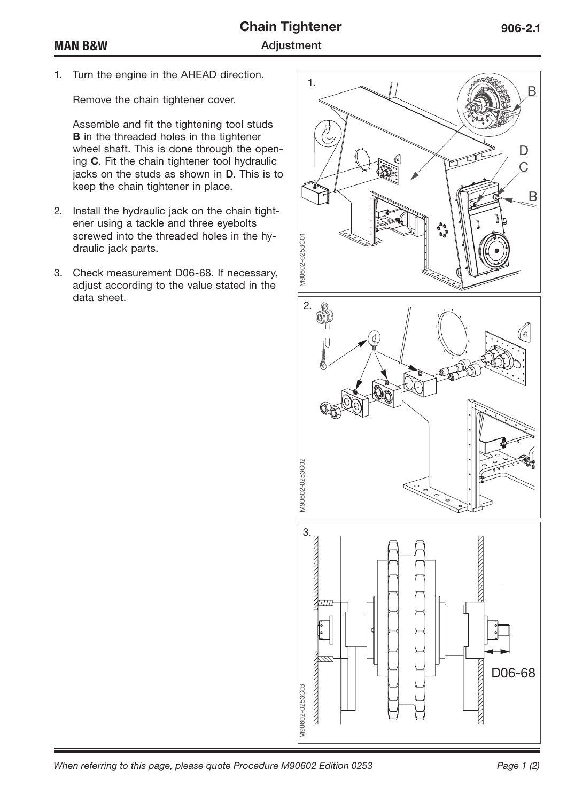1. Turn the engine in the AHEAD direction.

Remove the chain tightener cover.

Assemble and fit the tightening tool studs **B** in the threaded holes in the tightener wheel shaft. This is done through the opening **C**. Fit the chain tightener tool hydraulic jacks on the studs as shown in **D**. This is to keep the chain tightener in place.

- 2. Install the hydraulic jack on the chain tightener using a tackle and three eyebolts screwed into the threaded holes in the hydraulic jack parts.
- 3. Check measurement D06-68. If necessary, adjust according to the value stated in the data sheet.

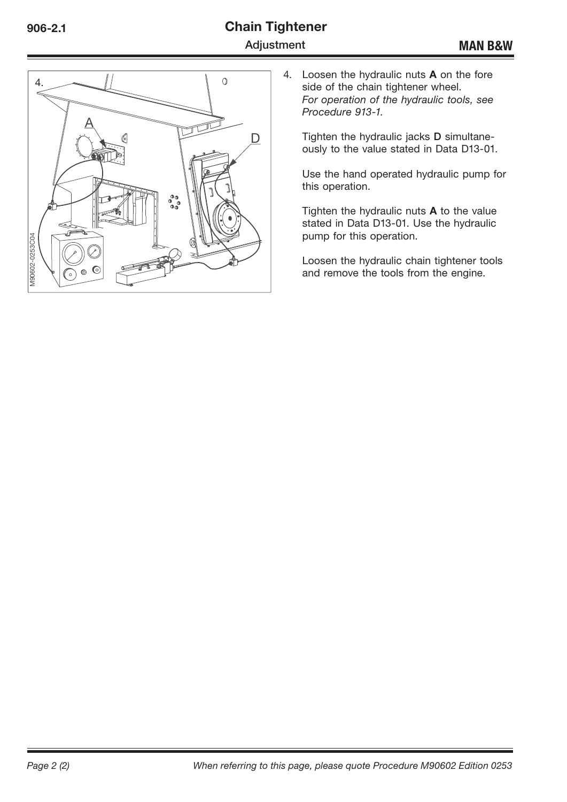# **Chain Tightener Adjustment**



4. Loosen the hydraulic nuts **A** on the fore side of the chain tightener wheel. *For operation of the hydraulic tools, see*  Procedure 913-1.

Tighten the hydraulic jacks **D** simultaneously to the value stated in Data D13-01.

Use the hand operated hydraulic pump for this operation.

Tighten the hydraulic nuts **A** to the value stated in Data D13-01. Use the hydraulic pump for this operation.

Loosen the hydraulic chain tightener tools and remove the tools from the engine.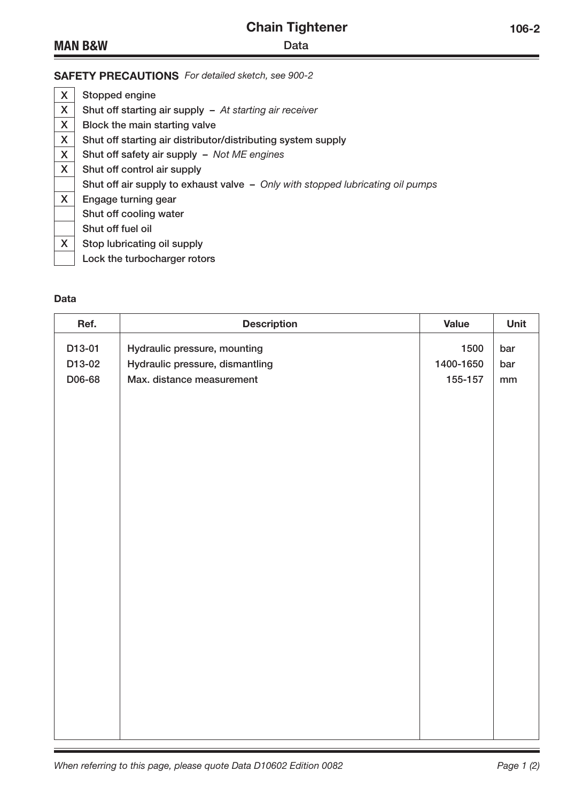| <b>Chain Tightener</b> |      |  |  |
|------------------------|------|--|--|
|                        | Data |  |  |

# **MAN B&W**

| X | Stopped engine                                                                 |
|---|--------------------------------------------------------------------------------|
| X | Shut off starting air supply $-$ At starting air receiver                      |
| X | Block the main starting valve                                                  |
| X | Shut off starting air distributor/distributing system supply                   |
| X | Shut off safety air supply - Not ME engines                                    |
| X | Shut off control air supply                                                    |
|   | Shut off air supply to exhaust valve - Only with stopped lubricating oil pumps |
| X | Engage turning gear                                                            |
|   | Shut off cooling water                                                         |
|   | Shut off fuel oil                                                              |
| X | Stop lubricating oil supply                                                    |
|   | Lock the turbocharger rotors                                                   |

### **Data**

| Ref.   | <b>Description</b>              | <b>Value</b> | Unit          |
|--------|---------------------------------|--------------|---------------|
| D13-01 | Hydraulic pressure, mounting    | 1500         | bar           |
| D13-02 | Hydraulic pressure, dismantling | 1400-1650    | bar           |
| D06-68 | Max. distance measurement       | 155-157      | $\mathsf{mm}$ |
|        |                                 |              |               |
|        |                                 |              |               |
|        |                                 |              |               |
|        |                                 |              |               |
|        |                                 |              |               |
|        |                                 |              |               |
|        |                                 |              |               |
|        |                                 |              |               |
|        |                                 |              |               |
|        |                                 |              |               |
|        |                                 |              |               |
|        |                                 |              |               |
|        |                                 |              |               |
|        |                                 |              |               |
|        |                                 |              |               |
|        |                                 |              |               |
|        |                                 |              |               |
|        |                                 |              |               |
|        |                                 |              |               |
|        |                                 |              |               |
|        |                                 |              |               |
|        |                                 |              |               |